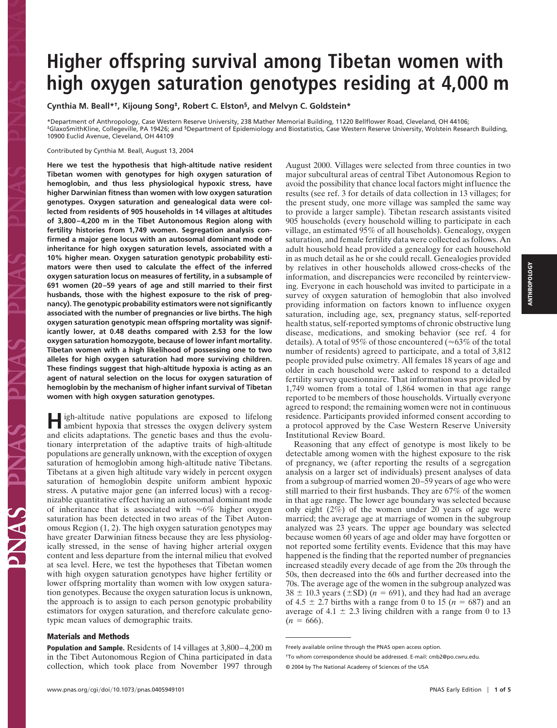# **Higher offspring survival among Tibetan women with high oxygen saturation genotypes residing at 4,000 m**

**Cynthia M. Beall\*†, Kijoung Song‡, Robert C. Elston§, and Melvyn C. Goldstein\***

\*Department of Anthropology, Case Western Reserve University, 238 Mather Memorial Building, 11220 Bellflower Road, Cleveland, OH 44106; ‡GlaxoSmithKline, Collegeville, PA 19426; and §Department of Epidemiology and Biostatistics, Case Western Reserve University, Wolstein Research Building, 10900 Euclid Avenue, Cleveland, OH 44109

### Contributed by Cynthia M. Beall, August 13, 2004

**Here we test the hypothesis that high-altitude native resident Tibetan women with genotypes for high oxygen saturation of hemoglobin, and thus less physiological hypoxic stress, have higher Darwinian fitness than women with low oxygen saturation genotypes. Oxygen saturation and genealogical data were collected from residents of 905 households in 14 villages at altitudes of 3,800–4,200 m in the Tibet Autonomous Region along with fertility histories from 1,749 women. Segregation analysis confirmed a major gene locus with an autosomal dominant mode of inheritance for high oxygen saturation levels, associated with a 10% higher mean. Oxygen saturation genotypic probability estimators were then used to calculate the effect of the inferred oxygen saturation locus on measures of fertility, in a subsample of 691 women (20–59 years of age and still married to their first husbands, those with the highest exposure to the risk of pregnancy). The genotypic probability estimators were not significantly associated with the number of pregnancies or live births. The high oxygen saturation genotypic mean offspring mortality was significantly lower, at 0.48 deaths compared with 2.53 for the low oxygen saturation homozygote, because of lower infant mortality. Tibetan women with a high likelihood of possessing one to two alleles for high oxygen saturation had more surviving children. These findings suggest that high-altitude hypoxia is acting as an agent of natural selection on the locus for oxygen saturation of hemoglobin by the mechanism of higher infant survival of Tibetan women with high oxygen saturation genotypes.**

**H**igh-altitude native populations are exposed to lifelong ambient hypoxia that stresses the oxygen delivery system and elicits adaptations. The genetic bases and thus the evolutionary interpretation of the adaptive traits of high-altitude populations are generally unknown, with the exception of oxygen saturation of hemoglobin among high-altitude native Tibetans. Tibetans at a given high altitude vary widely in percent oxygen saturation of hemoglobin despite uniform ambient hypoxic stress. A putative major gene (an inferred locus) with a recognizable quantitative effect having an autosomal dominant mode of inheritance that is associated with  $\approx 6\%$  higher oxygen saturation has been detected in two areas of the Tibet Autonomous Region (1, 2). The high oxygen saturation genotypes may have greater Darwinian fitness because they are less physiologically stressed, in the sense of having higher arterial oxygen content and less departure from the internal milieu that evolved at sea level. Here, we test the hypotheses that Tibetan women with high oxygen saturation genotypes have higher fertility or lower offspring mortality than women with low oxygen saturation genotypes. Because the oxygen saturation locus is unknown, the approach is to assign to each person genotypic probability estimators for oxygen saturation, and therefore calculate genotypic mean values of demographic traits.

### **Materials and Methods**

**Population and Sample.** Residents of 14 villages at 3,800–4,200 m in the Tibet Autonomous Region of China participated in data collection, which took place from November 1997 through

August 2000. Villages were selected from three counties in two major subcultural areas of central Tibet Autonomous Region to avoid the possibility that chance local factors might influence the results (see ref. 3 for details of data collection in 13 villages; for the present study, one more village was sampled the same way to provide a larger sample). Tibetan research assistants visited 905 households (every household willing to participate in each village, an estimated 95% of all households). Genealogy, oxygen saturation, and female fertility data were collected as follows. An adult household head provided a genealogy for each household in as much detail as he or she could recall. Genealogies provided by relatives in other households allowed cross-checks of the information, and discrepancies were reconciled by reinterviewing. Everyone in each household was invited to participate in a survey of oxygen saturation of hemoglobin that also involved providing information on factors known to influence oxygen saturation, including age, sex, pregnancy status, self-reported health status, self-reported symptoms of chronic obstructive lung disease, medications, and smoking behavior (see ref. 4 for details). A total of 95% of those encountered ( $\approx 63\%$  of the total number of residents) agreed to participate, and a total of 3,812 people provided pulse oximetry. All females 18 years of age and older in each household were asked to respond to a detailed fertility survey questionnaire. That information was provided by 1,749 women from a total of 1,864 women in that age range reported to be members of those households. Virtually everyone agreed to respond; the remaining women were not in continuous residence. Participants provided informed consent according to a protocol approved by the Case Western Reserve University Institutional Review Board.

Reasoning that any effect of genotype is most likely to be detectable among women with the highest exposure to the risk of pregnancy, we (after reporting the results of a segregation analysis on a larger set of individuals) present analyses of data from a subgroup of married women 20–59 years of age who were still married to their first husbands. They are 67% of the women in that age range. The lower age boundary was selected because only eight  $(2\%)$  of the women under 20 years of age were married; the average age at marriage of women in the subgroup analyzed was 23 years. The upper age boundary was selected because women 60 years of age and older may have forgotten or not reported some fertility events. Evidence that this may have happened is the finding that the reported number of pregnancies increased steadily every decade of age from the 20s through the 50s, then decreased into the 60s and further decreased into the 70s. The average age of the women in the subgroup analyzed was  $38 \pm 10.3$  years ( $\pm$ SD) ( $n = 691$ ), and they had had an average of  $4.5 \pm 2.7$  births with a range from 0 to 15 ( $n = 687$ ) and an average of  $4.1 \pm 2.3$  living children with a range from 0 to 13  $(n = 666)$ .

Freely available online through the PNAS open access option.

<sup>†</sup>To whom correspondence should be addressed. E-mail: cmb2@po.cwru.edu.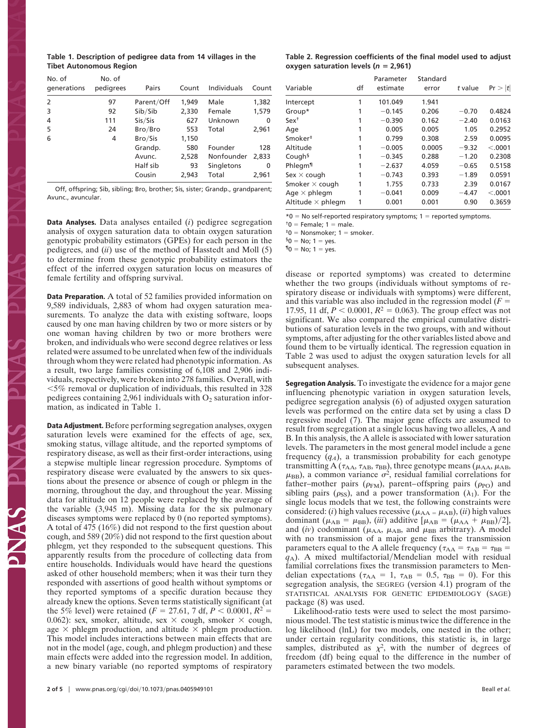| Table 1. Description of pedigree data from 14 villages in the |  |  |  |
|---------------------------------------------------------------|--|--|--|
| <b>Tibet Autonomous Region</b>                                |  |  |  |

| No. of<br>generations | No. of<br>pedigrees | Pairs      | Count | Individuals | Count |
|-----------------------|---------------------|------------|-------|-------------|-------|
| 2                     | 97                  | Parent/Off | 1,949 | Male        | 1,382 |
| 3                     | 92                  | Sib/Sib    | 2,330 | Female      | 1,579 |
| 4                     | 111                 | Sis/Sis    | 627   | Unknown     | 0     |
| 5                     | 24                  | Bro/Bro    | 553   | Total       | 2,961 |
| 6                     | 4                   | Bro/Sis    | 1,150 |             |       |
|                       |                     | Grandp.    | 580   | Founder     | 128   |
|                       |                     | Avunc.     | 2,528 | Nonfounder  | 2,833 |
|                       |                     | Half sib   | 93    | Singletons  | 0     |
|                       |                     | Cousin     | 2,943 | Total       | 2,961 |

Off, offspring; Sib, sibling; Bro, brother; Sis, sister; Grandp., grandparent; Avunc., avuncular.

**Data Analyses.** Data analyses entailed (*i*) pedigree segregation analysis of oxygen saturation data to obtain oxygen saturation genotypic probability estimators (GPEs) for each person in the pedigrees, and (*ii*) use of the method of Hasstedt and Moll (5) to determine from these genotypic probability estimators the effect of the inferred oxygen saturation locus on measures of female fertility and offspring survival.

**Data Preparation.** A total of 52 families provided information on 9,589 individuals, 2,883 of whom had oxygen saturation measurements. To analyze the data with existing software, loops caused by one man having children by two or more sisters or by one woman having children by two or more brothers were broken, and individuals who were second degree relatives or less related were assumed to be unrelated when few of the individuals through whom they were related had phenotypic information. As a result, two large families consisting of 6,108 and 2,906 individuals, respectively, were broken into 278 families. Overall, with  $\leq$ 5% removal or duplication of individuals, this resulted in 328 pedigrees containing 2,961 individuals with  $O_2$  saturation information, as indicated in Table 1.

**Data Adjustment.** Before performing segregation analyses, oxygen saturation levels were examined for the effects of age, sex, smoking status, village altitude, and the reported symptoms of respiratory disease, as well as their first-order interactions, using a stepwise multiple linear regression procedure. Symptoms of respiratory disease were evaluated by the answers to six questions about the presence or absence of cough or phlegm in the morning, throughout the day, and throughout the year. Missing data for altitude on 12 people were replaced by the average of the variable (3,945 m). Missing data for the six pulmonary diseases symptoms were replaced by 0 (no reported symptoms). A total of 475 (16%) did not respond to the first question about cough, and 589 (20%) did not respond to the first question about phlegm, yet they responded to the subsequent questions. This apparently results from the procedure of collecting data from entire households. Individuals would have heard the questions asked of other household members; when it was their turn they responded with assertions of good health without symptoms or they reported symptoms of a specific duration because they already knew the options. Seven terms statistically significant (at the 5% level) were retained ( $F = 27.61$ , 7 df,  $P < 0.0001$ ,  $R^2 =$ 0.062): sex, smoker, altitude, sex  $\times$  cough, smoker  $\times$  cough, age  $\times$  phlegm production, and altitude  $\times$  phlegm production. This model includes interactions between main effects that are not in the model (age, cough, and phlegm production) and these main effects were added into the regression model. In addition, a new binary variable (no reported symptoms of respiratory

**Table 2. Regression coefficients of the final model used to adjust oxygen saturation levels (** $n = 2,961$ **)** 

| Variable                 | df | Parameter<br>estimate | Standard<br>error | t value | Pr >  t |
|--------------------------|----|-----------------------|-------------------|---------|---------|
| Intercept                | 1  | 101.049               | 1.941             |         |         |
| Group*                   |    | $-0.145$              | 0.206             | $-0.70$ | 0.4824  |
| Sex <sup>†</sup>         |    | $-0.390$              | 0.162             | $-2.40$ | 0.0163  |
| Age                      |    | 0.005                 | 0.005             | 1.05    | 0.2952  |
| Smoker <sup>#</sup>      |    | 0.799                 | 0.308             | 2.59    | 0.0095  |
| Altitude                 | 1  | $-0.005$              | 0.0005            | $-9.32$ | < .0001 |
| Cough <sup>§</sup>       |    | $-0.345$              | 0.288             | $-1.20$ | 0.2308  |
| Phlegm <sup>1</sup>      |    | $-2.637$              | 4.059             | $-0.65$ | 0.5158  |
| Sex $\times$ cough       |    | $-0.743$              | 0.393             | $-1.89$ | 0.0591  |
| Smoker $\times$ cough    |    | 1.755                 | 0.733             | 2.39    | 0.0167  |
| Age $\times$ phlegm      | 1  | $-0.041$              | 0.009             | $-4.47$ | < .0001 |
| Altitude $\times$ phlegm |    | 0.001                 | 0.001             | 0.90    | 0.3659  |

 $*0 = No$  self-reported respiratory symptoms; 1 = reported symptoms.

 $<sup>†</sup>0$  = Female: 1 = male.</sup>

 $t=0$  = Nonsmoker; 1 = smoker.

 ${}^{5}0$  = No; 1 = yes.

 $\P0 = No; 1 = yes.$ 

disease or reported symptoms) was created to determine whether the two groups (individuals without symptoms of respiratory disease or individuals with symptoms) were different, and this variable was also included in the regression model  $(F =$ 17.95, 11 df,  $P < 0.0001$ ,  $R^2 = 0.063$ ). The group effect was not significant. We also compared the empirical cumulative distributions of saturation levels in the two groups, with and without symptoms, after adjusting for the other variables listed above and found them to be virtually identical. The regression equation in Table 2 was used to adjust the oxygen saturation levels for all subsequent analyses.

**Segregation Analysis.** To investigate the evidence for a major gene influencing phenotypic variation in oxygen saturation levels, pedigree segregation analysis (6) of adjusted oxygen saturation levels was performed on the entire data set by using a class D regressive model (7). The major gene effects are assumed to result from segregation at a single locus having two alleles, A and B. In this analysis, the A allele is associated with lower saturation levels. The parameters in the most general model include a gene frequency  $(q_A)$ , a transmission probability for each genotype transmitting A ( $\tau_{AA}$ ,  $\tau_{AB}$ ,  $\tau_{BB}$ ), three genotype means ( $\mu_{AA}$ ,  $\mu_{AB}$ ,  $\mu_{\text{BB}}$ ), a common variance  $\sigma^2$ , residual familial correlations for father–mother pairs ( $\rho_{FM}$ ), parent–offspring pairs ( $\rho_{PO}$ ) and sibling pairs ( $\rho_{SS}$ ), and a power transformation ( $\lambda_1$ ). For the single locus models that we test, the following constraints were considered: (*i*) high values recessive ( $\mu_{AA} = \mu_{AB}$ ), (*ii*) high values dominant ( $\mu_{AB} = \mu_{BB}$ ), (*iii*) additive [ $\mu_{AB} = (\mu_{AA} + \mu_{BB})/2$ ], and (*iv*) codominant ( $\mu$ <sub>AA</sub>,  $\mu$ <sub>AB</sub>, and  $\mu$ <sub>BB</sub> arbitrary). A model with no transmission of a major gene fixes the transmission parameters equal to the A allele frequency ( $\tau_{AA} = \tau_{AB} = \tau_{BB} =$  $q_A$ ). A mixed multifactorial/Mendelian model with residual familial correlations fixes the transmission parameters to Mendelian expectations ( $\tau_{AA} = 1$ ,  $\tau_{AB} = 0.5$ ,  $\tau_{BB} = 0$ ). For this segregation analysis, the SEGREG (version 4.1) program of the STATISTICAL ANALYSIS FOR GENETIC EPIDEMIOLOGY (SAGE) package (8) was used.

Likelihood-ratio tests were used to select the most parsimonious model. The test statistic is minus twice the difference in the log likelihood (lnL) for two models, one nested in the other; under certain regularity conditions, this statistic is, in large samples, distributed as  $\chi^2$ , with the number of degrees of freedom (df) being equal to the difference in the number of parameters estimated between the two models.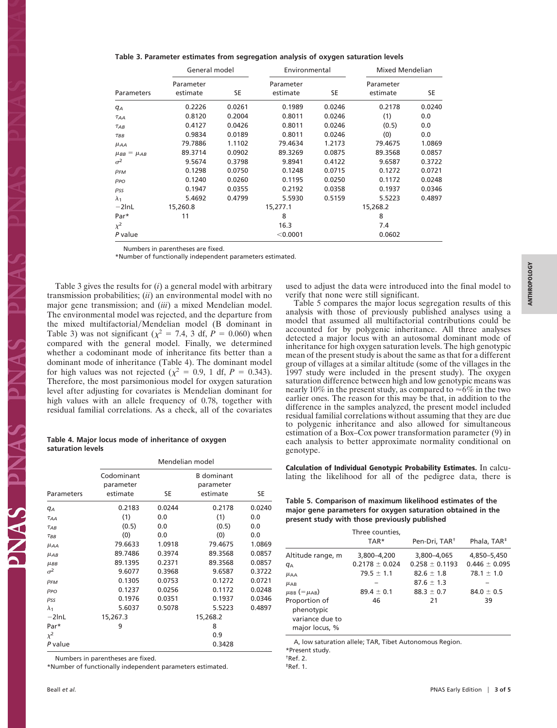|  |  |  |  |  | Table 3. Parameter estimates from segregation analysis of oxygen saturation levels |  |  |  |  |
|--|--|--|--|--|------------------------------------------------------------------------------------|--|--|--|--|
|--|--|--|--|--|------------------------------------------------------------------------------------|--|--|--|--|

|                       | General model         |        | Environmental         | <b>Mixed Mendelian</b> |                       |        |
|-----------------------|-----------------------|--------|-----------------------|------------------------|-----------------------|--------|
| <b>Parameters</b>     | Parameter<br>estimate | SE     | Parameter<br>estimate | SE                     | Parameter<br>estimate | SE     |
| $q_A$                 | 0.2226                | 0.0261 | 0.1989                | 0.0246                 | 0.2178                | 0.0240 |
| $\tau_{AA}$           | 0.8120                | 0.2004 | 0.8011                | 0.0246                 | (1)                   | 0.0    |
| $\tau_{AB}$           | 0.4127                | 0.0426 | 0.8011                | 0.0246                 | (0.5)                 | 0.0    |
| $\tau_{BB}$           | 0.9834                | 0.0189 | 0.8011                | 0.0246                 | (0)                   | 0.0    |
| $\mu_{AA}$            | 79.7886               | 1.1102 | 79.4634               | 1.2173                 | 79.4675               | 1.0869 |
| $\mu_{BB} = \mu_{AB}$ | 89.3714               | 0.0902 | 89.3269               | 0.0875                 | 89.3568               | 0.0857 |
| $\sigma^2$            | 9.5674                | 0.3798 | 9.8941                | 0.4122                 | 9.6587                | 0.3722 |
| $\rho_{FM}$           | 0.1298                | 0.0750 | 0.1248                | 0.0715                 | 0.1272                | 0.0721 |
| $\rho_{PO}$           | 0.1240                | 0.0260 | 0.1195                | 0.0250                 | 0.1172                | 0.0248 |
| pss                   | 0.1947                | 0.0355 | 0.2192                | 0.0358                 | 0.1937                | 0.0346 |
| $\lambda_1$           | 5.4692                | 0.4799 | 5.5930                | 0.5159                 | 5.5223                | 0.4897 |
| $-2lnL$               | 15,260.8              |        | 15,277.1              |                        | 15,268.2              |        |
| Par*                  | 11                    |        | 8                     |                        | 8                     |        |
| $\chi^2$              |                       |        | 16.3                  |                        | 7.4                   |        |
| P value               |                       |        | < 0.0001              |                        | 0.0602                |        |

Numbers in parentheses are fixed.

\*Number of functionally independent parameters estimated.

Table 3 gives the results for (*i*) a general model with arbitrary transmission probabilities; (*ii*) an environmental model with no major gene transmission; and (*iii*) a mixed Mendelian model. The environmental model was rejected, and the departure from the mixed multifactorial/Mendelian model (B dominant in Table 3) was not significant ( $\chi^2$  = 7.4, 3 df,  $\dot{P}$  = 0.060) when compared with the general model. Finally, we determined whether a codominant mode of inheritance fits better than a dominant mode of inheritance (Table 4). The dominant model for high values was not rejected ( $\chi^2 = 0.9$ , 1 df,  $P = 0.343$ ). Therefore, the most parsimonious model for oxygen saturation level after adjusting for covariates is Mendelian dominant for high values with an allele frequency of 0.78, together with residual familial correlations. As a check, all of the covariates

### **Table 4. Major locus mode of inheritance of oxygen saturation levels**

|                     |                                     | Mendelian model |                                            |        |
|---------------------|-------------------------------------|-----------------|--------------------------------------------|--------|
| Parameters          | Codominant<br>parameter<br>estimate | SE              | <b>B</b> dominant<br>parameter<br>estimate | SE     |
| $q_A$               | 0.2183                              | 0.0244          | 0.2178                                     | 0.0240 |
| $T_{AA}$            | (1)                                 | 0.0             | (1)                                        | 0.0    |
| $T_{AB}$            | (0.5)                               | 0.0             | (0.5)                                      | 0.0    |
| TBB                 | (0)                                 | 0.0             | (0)                                        | 0.0    |
| $\mu_{AA}$          | 79.6633                             | 1.0918          | 79.4675                                    | 1.0869 |
| $\mu_{AB}$          | 89.7486                             | 0.3974          | 89.3568                                    | 0.0857 |
| $\mu$ <sub>BB</sub> | 89.1395                             | 0.2371          | 89.3568                                    | 0.0857 |
| $\sigma^2$          | 9.6077                              | 0.3968          | 9.6587                                     | 0.3722 |
| $\rho_{FM}$         | 0.1305                              | 0.0753          | 0.1272                                     | 0.0721 |
| $\rho_{PO}$         | 0.1237                              | 0.0256          | 0.1172                                     | 0.0248 |
| $\rho_{SS}$         | 0.1976                              | 0.0351          | 0.1937                                     | 0.0346 |
| $\lambda_1$         | 5.6037                              | 0.5078          | 5.5223                                     | 0.4897 |
| $-2$ InL            | 15,267.3                            |                 | 15,268.2                                   |        |
| Par*                | 9                                   |                 | 8                                          |        |
| $x^2$               |                                     |                 | 0.9                                        |        |
| P value             |                                     |                 | 0.3428                                     |        |

Numbers in parentheses are fixed.

\*Number of functionally independent parameters estimated.

**ANTHROPOLOGY ANTHROPOLOGY**

used to adjust the data were introduced into the final model to verify that none were still significant. Table 5 compares the major locus segregation results of this

analysis with those of previously published analyses using a model that assumed all multifactorial contributions could be accounted for by polygenic inheritance. All three analyses detected a major locus with an autosomal dominant mode of inheritance for high oxygen saturation levels. The high genotypic mean of the present study is about the same as that for a different group of villages at a similar altitude (some of the villages in the 1997 study were included in the present study). The oxygen saturation difference between high and low genotypic means was nearly 10% in the present study, as compared to  $\approx 6\%$  in the two earlier ones. The reason for this may be that, in addition to the difference in the samples analyzed, the present model included residual familial correlations without assuming that they are due to polygenic inheritance and also allowed for simultaneous estimation of a Box–Cox power transformation parameter (9) in each analysis to better approximate normality conditional on genotype.

**Calculation of Individual Genotypic Probability Estimates.** In calculating the likelihood for all of the pedigree data, there is

**Table 5. Comparison of maximum likelihood estimates of the major gene parameters for oxygen saturation obtained in the present study with those previously published**

|                                                                  | Three counties,<br>TAR* | Pen-Dri, TAR <sup>+</sup> | Phala, TAR <sup>‡</sup> |
|------------------------------------------------------------------|-------------------------|---------------------------|-------------------------|
| Altitude range, m                                                | 3,800-4,200             | 3.800-4.065               | 4,850-5,450             |
| $q_{A}$                                                          | $0.2178 \pm 0.024$      | $0.258 + 0.1193$          | $0.446 + 0.095$         |
| $\mu$ AA                                                         | $79.5 \pm 1.1$          | $82.6 + 1.8$              | $78.1 + 1.0$            |
| $\mu$ <sub>AB</sub>                                              |                         | $87.6 + 1.3$              |                         |
| $\mu_{BB}$ (= $\mu_{AB}$ )                                       | $89.4 \pm 0.1$          | $88.3 + 0.7$              | $84.0 \pm 0.5$          |
| Proportion of<br>phenotypic<br>variance due to<br>major locus, % | 46                      | 21                        | 39                      |

A, low saturation allele; TAR, Tibet Autonomous Region.

\*Present study.

†Ref. 2.

‡Ref. 1.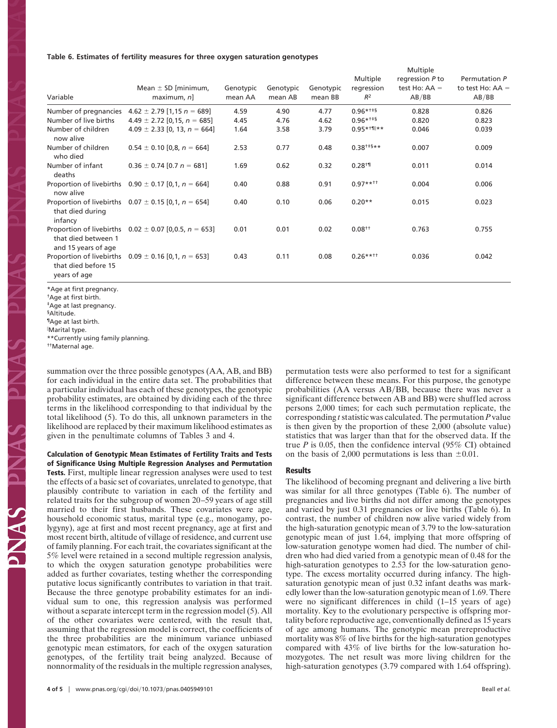**Table 6. Estimates of fertility measures for three oxygen saturation genotypes**

|                                                                 |                                                              |           |           |           |                           | Multiple                           |                                     |
|-----------------------------------------------------------------|--------------------------------------------------------------|-----------|-----------|-----------|---------------------------|------------------------------------|-------------------------------------|
|                                                                 | Mean $\pm$ SD [minimum,                                      | Genotypic | Genotypic | Genotypic | Multiple<br>regression    | regression P to<br>test Ho: $AA =$ | Permutation P<br>to test Ho: $AA =$ |
| Variable                                                        | $maximum, n$ ]                                               | mean AA   | mean AB   | mean BB   | $R^2$                     | AB/BB                              | AB/BB                               |
| Number of pregnancies                                           | $4.62 \pm 2.79$ [1,15 n = 689]                               | 4.59      | 4.90      | 4.77      | $0.96***$ <sup>++\$</sup> | 0.828                              | 0.826                               |
| Number of live births                                           | $4.49 \pm 2.72$ [0,15, $n = 685$ ]                           | 4.45      | 4.76      | 4.62      | $0.96***$                 | 0.820                              | 0.823                               |
| Number of children<br>now alive                                 | $4.09 \pm 2.33$ [0, 13, n = 664]                             | 1.64      | 3.58      | 3.79      | $0.95***$ <sup>1</sup> ** | 0.046                              | 0.039                               |
| Number of children<br>who died                                  | $0.54 \pm 0.10$ [0,8, n = 664]                               | 2.53      | 0.77      | 0.48      | $0.38^{+15**}$            | 0.007                              | 0.009                               |
| Number of infant<br>deaths                                      | $0.36 \pm 0.74$ [0.7 n = 681]                                | 1.69      | 0.62      | 0.32      | $0.28^{+1}$               | 0.011                              | 0.014                               |
| now alive                                                       | Proportion of livebirths $0.90 \pm 0.17$ [0,1, n = 664]      | 0.40      | 0.88      | 0.91      | $0.97***$ <sup>++</sup>   | 0.004                              | 0.006                               |
| that died during<br>infancy                                     | Proportion of livebirths $0.07 \pm 0.15$ [0,1, n = 654]      | 0.40      | 0.10      | 0.06      | $0.20**$                  | 0.015                              | 0.023                               |
| that died between 1<br>and 15 years of age                      | Proportion of livebirths $0.02 \pm 0.07$ [0,0.5, $n = 653$ ] | 0.01      | 0.01      | 0.02      | $0.08^{++}$               | 0.763                              | 0.755                               |
| Proportion of livebirths<br>that died before 15<br>years of age | $0.09 \pm 0.16$ [0,1, n = 653]                               | 0.43      | 0.11      | 0.08      | $0.26***$ <sup>++++</sup> | 0.036                              | 0.042                               |
|                                                                 |                                                              |           |           |           |                           |                                    |                                     |

\*Age at first pregnancy. †Age at first birth. ‡Age at last pregnancy.

§Altitude.

¶Age at last birth.

 Marital type. \*\*Currently using family planning.

††Maternal age.

summation over the three possible genotypes (AA, AB, and BB) for each individual in the entire data set. The probabilities that a particular individual has each of these genotypes, the genotypic probability estimates, are obtained by dividing each of the three terms in the likelihood corresponding to that individual by the total likelihood (5). To do this, all unknown parameters in the likelihood are replaced by their maximum likelihood estimates as given in the penultimate columns of Tables 3 and 4.

**Calculation of Genotypic Mean Estimates of Fertility Traits and Tests of Significance Using Multiple Regression Analyses and Permutation Tests.** First, multiple linear regression analyses were used to test the effects of a basic set of covariates, unrelated to genotype, that plausibly contribute to variation in each of the fertility and related traits for the subgroup of women 20–59 years of age still married to their first husbands. These covariates were age, household economic status, marital type (e.g., monogamy, polygyny), age at first and most recent pregnancy, age at first and most recent birth, altitude of village of residence, and current use of family planning. For each trait, the covariates significant at the 5% level were retained in a second multiple regression analysis, to which the oxygen saturation genotype probabilities were added as further covariates, testing whether the corresponding putative locus significantly contributes to variation in that trait. Because the three genotype probability estimates for an individual sum to one, this regression analysis was performed without a separate intercept term in the regression model (5). All of the other covariates were centered, with the result that, assuming that the regression model is correct, the coefficients of the three probabilities are the minimum variance unbiased genotypic mean estimators, for each of the oxygen saturation genotypes, of the fertility trait being analyzed. Because of nonnormality of the residuals in the multiple regression analyses, permutation tests were also performed to test for a significant difference between these means. For this purpose, the genotype probabilities  $(AA$  versus  $AB/BB$ , because there was never a significant difference between AB and BB) were shuffled across persons 2,000 times; for each such permutation replicate, the corresponding *t* statistic was calculated. The permutation *P* value is then given by the proportion of these 2,000 (absolute value) statistics that was larger than that for the observed data. If the true *P* is 0.05, then the confidence interval (95% CI) obtained on the basis of 2,000 permutations is less than  $\pm 0.01$ .

## **Results**

The likelihood of becoming pregnant and delivering a live birth was similar for all three genotypes (Table 6). The number of pregnancies and live births did not differ among the genotypes and varied by just 0.31 pregnancies or live births (Table 6). In contrast, the number of children now alive varied widely from the high-saturation genotypic mean of 3.79 to the low-saturation genotypic mean of just 1.64, implying that more offspring of low-saturation genotype women had died. The number of children who had died varied from a genotypic mean of 0.48 for the high-saturation genotypes to 2.53 for the low-saturation genotype. The excess mortality occurred during infancy. The highsaturation genotypic mean of just 0.32 infant deaths was markedly lower than the low-saturation genotypic mean of 1.69. There were no significant differences in child (1–15 years of age) mortality. Key to the evolutionary perspective is offspring mortality before reproductive age, conventionally defined as 15 years of age among humans. The genotypic mean prereproductive mortality was 8% of live births for the high-saturation genotypes compared with 43% of live births for the low-saturation homozygotes. The net result was more living children for the high-saturation genotypes (3.79 compared with 1.64 offspring).